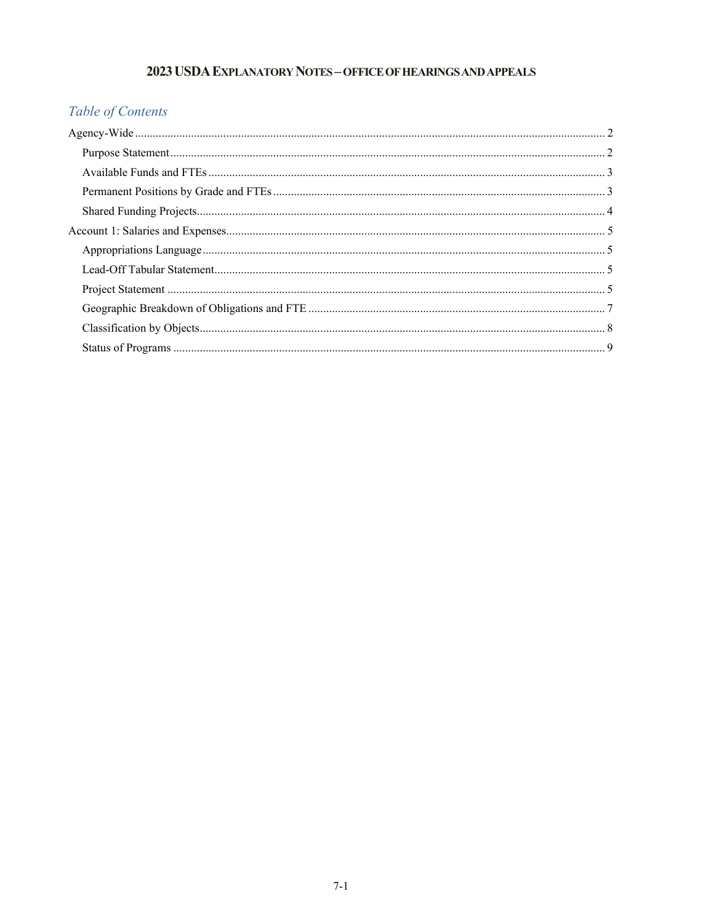## 2023 USDA EXPLANATORY NOTES - OFFICE OF HEARINGS AND APPEALS

# Table of Contents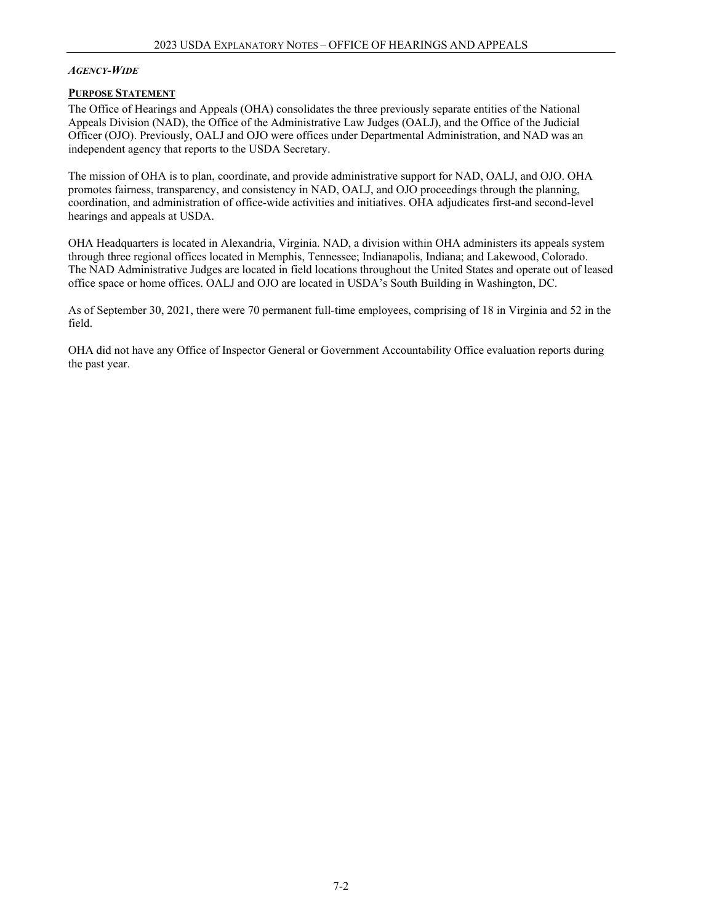#### <span id="page-1-0"></span>*AGENCY-WIDE*

#### <span id="page-1-1"></span>**PURPOSE STATEMENT**

The Office of Hearings and Appeals (OHA) consolidates the three previously separate entities of the National Appeals Division (NAD), the Office of the Administrative Law Judges (OALJ), and the Office of the Judicial Officer (OJO). Previously, OALJ and OJO were offices under Departmental Administration, and NAD was an independent agency that reports to the USDA Secretary.

The mission of OHA is to plan, coordinate, and provide administrative support for NAD, OALJ, and OJO. OHA promotes fairness, transparency, and consistency in NAD, OALJ, and OJO proceedings through the planning, coordination, and administration of office-wide activities and initiatives. OHA adjudicates first-and second-level hearings and appeals at USDA.

OHA Headquarters is located in Alexandria, Virginia. NAD, a division within OHA administers its appeals system through three regional offices located in Memphis, Tennessee; Indianapolis, Indiana; and Lakewood, Colorado. The NAD Administrative Judges are located in field locations throughout the United States and operate out of leased office space or home offices. OALJ and OJO are located in USDA's South Building in Washington, DC.

As of September 30, 2021, there were 70 permanent full-time employees, comprising of 18 in Virginia and 52 in the field.

OHA did not have any Office of Inspector General or Government Accountability Office evaluation reports during the past year.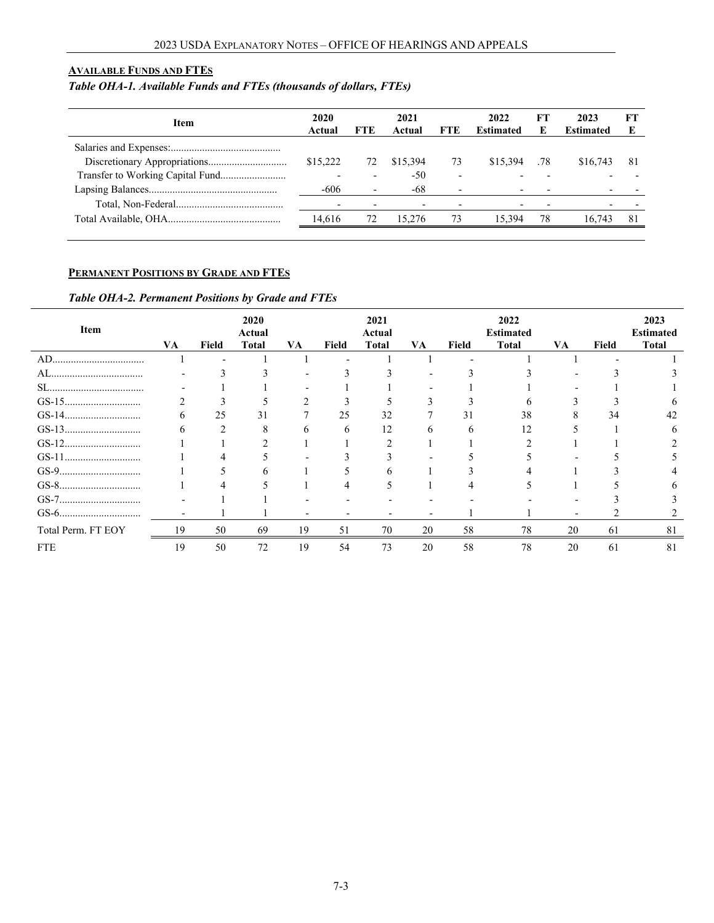#### <span id="page-2-0"></span>**AVAILABLE FUNDS AND FTES**

# *Table OHA-1. Available Funds and FTEs (thousands of dollars, FTEs)*

<span id="page-2-1"></span>

| <b>Item</b>                      | 2020<br>Actual | FTE | 2021<br>Actual | <b>FTE</b>               | 2022<br><b>Estimated</b> | FТ<br>E | 2023<br><b>Estimated</b> | FТ  |
|----------------------------------|----------------|-----|----------------|--------------------------|--------------------------|---------|--------------------------|-----|
|                                  |                |     |                |                          |                          |         |                          |     |
|                                  | \$15,222       | 72  | \$15,394       | 73                       | \$15,394                 | .78     | \$16,743                 | -81 |
| Transfer to Working Capital Fund |                |     | -50            | $\overline{\phantom{a}}$ |                          |         |                          |     |
|                                  | $-606$         |     | -68            | $\overline{\phantom{0}}$ |                          |         |                          |     |
|                                  |                |     |                |                          |                          |         |                          |     |
|                                  | 14.616         | 72  | 15.276         | 73                       | 15.394                   | 78      | 16.743                   | 81  |
|                                  |                |     |                |                          |                          |         |                          |     |

#### **PERMANENT POSITIONS BY GRADE AND FTES**

### *Table OHA-2. Permanent Positions by Grade and FTEs*

| Item               | VA.          | Field | 2020<br>Actual<br><b>Total</b> | VA | Field        | 2021<br>Actual<br>Total | VA | Field        | 2022<br><b>Estimated</b><br><b>Total</b> | VA | Field | 2023<br><b>Estimated</b><br><b>Total</b> |
|--------------------|--------------|-------|--------------------------------|----|--------------|-------------------------|----|--------------|------------------------------------------|----|-------|------------------------------------------|
|                    |              |       |                                |    |              |                         |    |              |                                          |    |       |                                          |
|                    |              |       |                                |    |              |                         |    |              |                                          |    |       |                                          |
|                    |              |       |                                |    |              |                         |    |              |                                          |    |       |                                          |
|                    |              |       |                                |    |              |                         |    |              |                                          |    |       |                                          |
|                    | <sub>0</sub> | 25    | 31                             |    | 25           | 32                      |    | 31           | 38                                       |    | 34    | 42                                       |
|                    | 6            |       | x                              | 6  | <sub>6</sub> | 12                      |    | <sub>6</sub> | 12                                       |    |       |                                          |
|                    |              |       |                                |    |              |                         |    |              |                                          |    |       |                                          |
|                    |              |       |                                |    |              |                         |    |              |                                          |    |       |                                          |
|                    |              |       |                                |    |              |                         |    |              |                                          |    |       |                                          |
|                    |              |       |                                |    |              |                         |    |              |                                          |    |       |                                          |
|                    |              |       |                                |    |              |                         |    |              |                                          |    |       |                                          |
|                    |              |       |                                |    |              |                         |    |              |                                          |    |       |                                          |
| Total Perm. FT EOY | ۱9           | 50    | 69                             | 19 | 51           | 70                      | 20 | 58           | 78                                       | 20 | 61    | 81                                       |
| <b>FTE</b>         | 19           | 50    | 72                             | 19 | 54           | 73                      | 20 | 58           | 78                                       | 20 | -61   | 81                                       |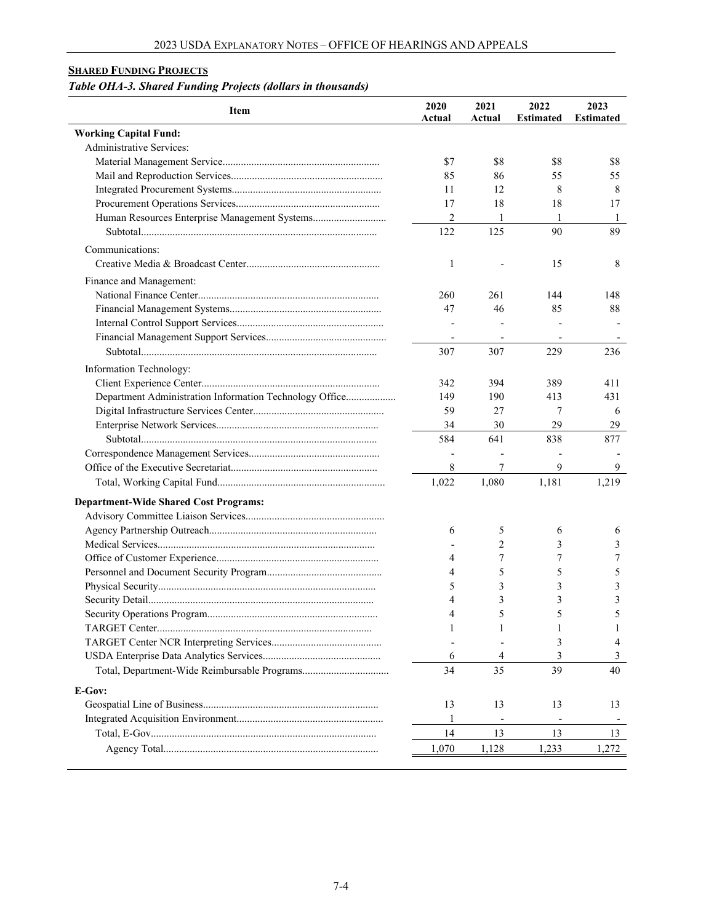### <span id="page-3-0"></span>**SHARED FUNDING PROJECTS**

## *Table OHA-3. Shared Funding Projects (dollars in thousands)*

| <b>Item</b>                                             | 2020<br>Actual           | 2021<br>Actual | 2022<br><b>Estimated</b> | 2023<br><b>Estimated</b> |
|---------------------------------------------------------|--------------------------|----------------|--------------------------|--------------------------|
| <b>Working Capital Fund:</b>                            |                          |                |                          |                          |
| Administrative Services:                                |                          |                |                          |                          |
|                                                         | \$7                      | \$8            | \$8                      | \$8                      |
|                                                         | 85                       | 86             | 55                       | 55                       |
|                                                         | 11                       | 12             | 8                        | 8                        |
|                                                         | 17                       | 18             | 18                       | 17                       |
|                                                         | $\overline{2}$           | 1              | $\mathbf{1}$             | 1                        |
|                                                         | 122                      | 125            | 90                       | 89                       |
| Communications:                                         |                          |                |                          |                          |
|                                                         | 1                        |                | 15                       | 8                        |
| Finance and Management:                                 |                          |                |                          |                          |
|                                                         | 260                      | 261            | 144                      | 148                      |
|                                                         | 47                       | 46             | 85                       | 88                       |
|                                                         |                          |                |                          |                          |
|                                                         | $\overline{\phantom{a}}$ | $\blacksquare$ |                          |                          |
|                                                         | 307                      | 307            | 229                      | 236                      |
| Information Technology:                                 |                          |                |                          |                          |
|                                                         | 342                      | 394            | 389                      | 411                      |
| Department Administration Information Technology Office | 149                      | 190            | 413                      | 431                      |
|                                                         | 59                       | 27             | 7                        | 6                        |
|                                                         | 34                       | 30             | 29                       | 29                       |
|                                                         | 584                      | 641            | 838                      | 877                      |
|                                                         |                          |                |                          |                          |
|                                                         | 8                        | 7              | 9                        | 9                        |
|                                                         | 1,022                    | 1,080          | 1,181                    | 1,219                    |
| <b>Department-Wide Shared Cost Programs:</b>            |                          |                |                          |                          |
|                                                         |                          |                |                          |                          |
|                                                         | 6                        | 5              | 6                        | 6                        |
|                                                         |                          | 2              | 3                        | 3                        |
|                                                         | 4                        | 7              | 7                        | 7                        |
|                                                         | 4                        | 5              | 5                        | 5                        |
|                                                         | 5                        | 3              | 3                        | 3                        |
|                                                         | 4                        | 3              | 3                        | 3                        |
|                                                         | $\overline{4}$           | 5              | 5                        | 5                        |
|                                                         | 1                        | 1              | 1                        | 1                        |
|                                                         |                          |                | 3                        | 4                        |
|                                                         | 6                        | 4              | 3                        | 3                        |
|                                                         | 34                       | 35             | 39                       | 40                       |
| E-Gov:                                                  |                          |                |                          |                          |
|                                                         | 13                       | 13             | 13                       | 13                       |
|                                                         | 1                        |                |                          |                          |
|                                                         | 14                       | 13             | 13                       | 13                       |
|                                                         | 1,070                    | 1,128          | 1,233                    | 1,272                    |
|                                                         |                          |                |                          |                          |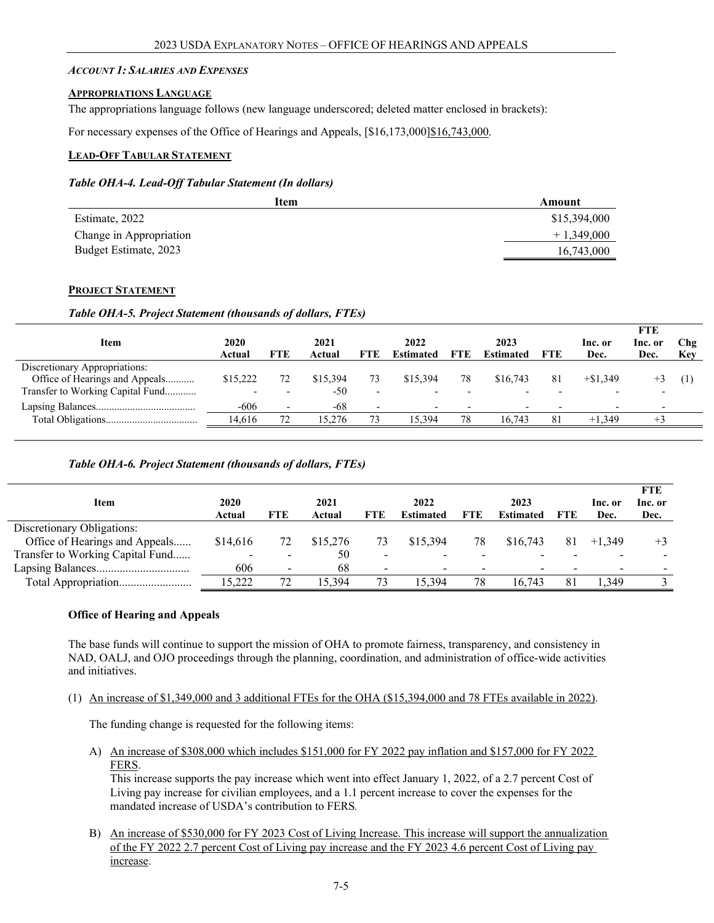#### <span id="page-4-0"></span>*ACCOUNT 1: SALARIES AND EXPENSES*

#### <span id="page-4-1"></span>**APPROPRIATIONS LANGUAGE**

The appropriations language follows (new language underscored; deleted matter enclosed in brackets):

For necessary expenses of the Office of Hearings and Appeals, [\$16,173,000]\$16,743,000.

#### <span id="page-4-2"></span>**LEAD-OFF TABULAR STATEMENT**

#### *Table OHA-4. Lead-Off Tabular Statement (In dollars)*

| Item                    | Amount       |
|-------------------------|--------------|
| Estimate, 2022          | \$15,394,000 |
| Change in Appropriation | $+1,349,000$ |
| Budget Estimate, 2023   | 16,743,000   |

#### <span id="page-4-3"></span>**PROJECT STATEMENT**

#### *Table OHA-5. Project Statement (thousands of dollars, FTEs)*

|                                  |          |     |          |                          |           |            |                          |     |                          | <b>FTE</b>               |     |
|----------------------------------|----------|-----|----------|--------------------------|-----------|------------|--------------------------|-----|--------------------------|--------------------------|-----|
| Item                             | 2020     |     | 2021     |                          | 2022      |            | 2023                     |     | Inc. or                  | Inc. or                  | Chg |
|                                  | Actual   | FTE | Actual   | FTE                      | Estimated | <b>FTE</b> | <b>Estimated</b>         | FTE | Dec.                     | Dec.                     | Key |
| Discretionary Appropriations:    |          |     |          |                          |           |            |                          |     |                          |                          |     |
| Office of Hearings and Appeals   | \$15,222 | 72  | \$15,394 |                          | \$15.394  | 78         | \$16,743                 | 81  | $+\$1.349$               |                          |     |
| Transfer to Working Capital Fund |          |     | $-50$    | $\overline{\phantom{a}}$ |           |            |                          |     | $\overline{\phantom{0}}$ | $\overline{\phantom{0}}$ |     |
|                                  | $-606$   |     | -68      | $\overline{\phantom{0}}$ |           |            | $\overline{\phantom{0}}$ |     | $\overline{\phantom{0}}$ |                          |     |
|                                  | 14.616   | 72  | 15.276   | 73                       | 15.394    | 78         | 16.743                   | 81  | $+1.349$                 |                          |     |
|                                  |          |     |          |                          |           |            |                          |     |                          |                          |     |

#### *Table OHA-6. Project Statement (thousands of dollars, FTEs)*

|                                  |                          |                          |          |                          |           |     |           |     |          | <b>FTE</b> |
|----------------------------------|--------------------------|--------------------------|----------|--------------------------|-----------|-----|-----------|-----|----------|------------|
| Item                             | 2020                     |                          | 2021     |                          | 2022      |     | 2023      |     | lnc. or  | Inc. or    |
|                                  | Actual                   | FTE                      | Actual   | <b>FTE</b>               | Estimated | FTE | Estimated | FTE | Dec.     | Dec.       |
| Discretionary Obligations:       |                          |                          |          |                          |           |     |           |     |          |            |
| Office of Hearings and Appeals   | \$14,616                 |                          | \$15,276 | 73                       | \$15,394  | 78  | \$16,743  | 81  | $+1.349$ | $+3$       |
| Transfer to Working Capital Fund | $\overline{\phantom{0}}$ | $\overline{\phantom{0}}$ | 50       | $\overline{\phantom{0}}$ |           |     |           |     |          |            |
|                                  | 606                      | $\overline{\phantom{0}}$ | -68      | $\overline{\phantom{0}}$ |           |     |           |     |          |            |
|                                  | 5.222                    |                          | 15.394   | 73                       | 5.394     | 78  | 16.743    |     | .349     |            |

#### **Office of Hearing and Appeals**

The base funds will continue to support the mission of OHA to promote fairness, transparency, and consistency in NAD, OALJ, and OJO proceedings through the planning, coordination, and administration of office-wide activities and initiatives.

(1) An increase of \$1,349,000 and 3 additional FTEs for the OHA (\$15,394,000 and 78 FTEs available in 2022).

The funding change is requested for the following items:

A) An increase of \$308,000 which includes \$151,000 for FY 2022 pay inflation and \$157,000 for FY 2022 FERS.

This increase supports the pay increase which went into effect January 1, 2022, of a 2.7 percent Cost of Living pay increase for civilian employees, and a 1.1 percent increase to cover the expenses for the mandated increase of USDA's contribution to FERS*.*

B) An increase of \$530,000 for FY 2023 Cost of Living Increase. This increase will support the annualization of the FY 2022 2.7 percent Cost of Living pay increase and the FY 2023 4.6 percent Cost of Living pay increase.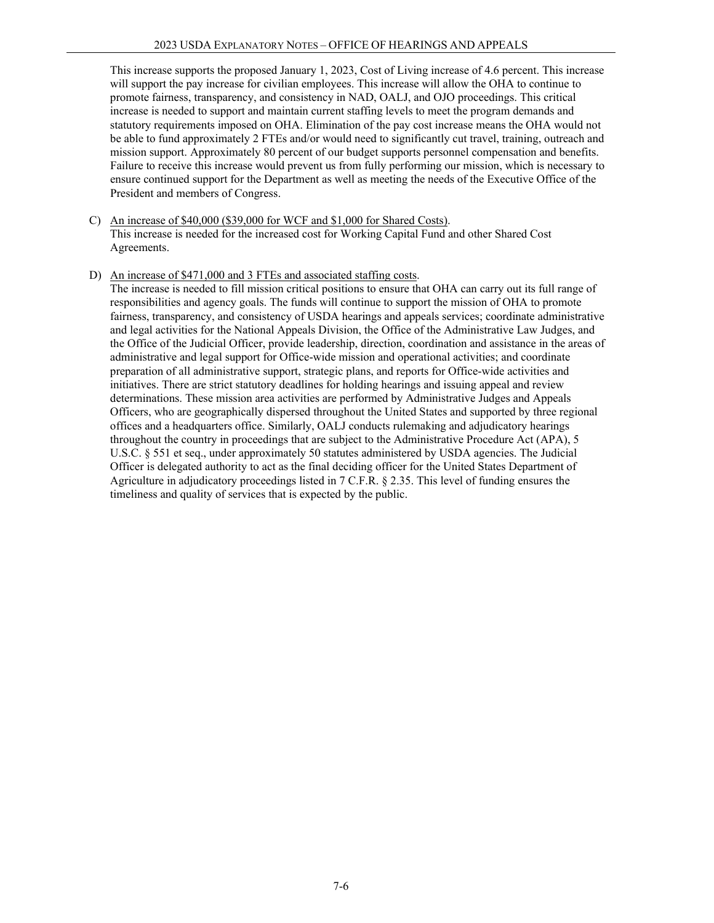This increase supports the proposed January 1, 2023, Cost of Living increase of 4.6 percent. This increase will support the pay increase for civilian employees. This increase will allow the OHA to continue to promote fairness, transparency, and consistency in NAD, OALJ, and OJO proceedings. This critical increase is needed to support and maintain current staffing levels to meet the program demands and statutory requirements imposed on OHA. Elimination of the pay cost increase means the OHA would not be able to fund approximately 2 FTEs and/or would need to significantly cut travel, training, outreach and mission support. Approximately 80 percent of our budget supports personnel compensation and benefits. Failure to receive this increase would prevent us from fully performing our mission, which is necessary to ensure continued support for the Department as well as meeting the needs of the Executive Office of the President and members of Congress.

- C) An increase of \$40,000 (\$39,000 for WCF and \$1,000 for Shared Costs). This increase is needed for the increased cost for Working Capital Fund and other Shared Cost Agreements.
- D) An increase of \$471,000 and 3 FTEs and associated staffing costs.

The increase is needed to fill mission critical positions to ensure that OHA can carry out its full range of responsibilities and agency goals. The funds will continue to support the mission of OHA to promote fairness, transparency, and consistency of USDA hearings and appeals services; coordinate administrative and legal activities for the National Appeals Division, the Office of the Administrative Law Judges, and the Office of the Judicial Officer, provide leadership, direction, coordination and assistance in the areas of administrative and legal support for Office-wide mission and operational activities; and coordinate preparation of all administrative support, strategic plans, and reports for Office-wide activities and initiatives. There are strict statutory deadlines for holding hearings and issuing appeal and review determinations. These mission area activities are performed by Administrative Judges and Appeals Officers, who are geographically dispersed throughout the United States and supported by three regional offices and a headquarters office. Similarly, OALJ conducts rulemaking and adjudicatory hearings throughout the country in proceedings that are subject to the Administrative Procedure Act (APA), 5 U.S.C. § 551 et seq., under approximately 50 statutes administered by USDA agencies. The Judicial Officer is delegated authority to act as the final deciding officer for the United States Department of Agriculture in adjudicatory proceedings listed in 7 C.F.R. § 2.35. This level of funding ensures the timeliness and quality of services that is expected by the public.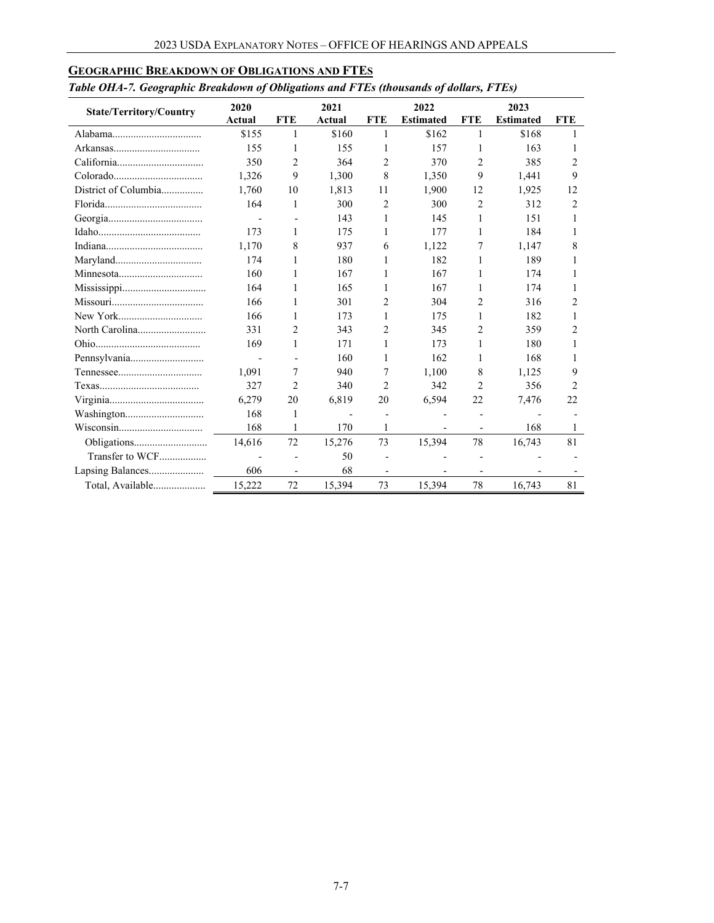| <b>State/Territory/Country</b> | 2020<br>Actual | <b>FTE</b> | 2021<br>Actual | <b>FTE</b>     | 2022<br><b>Estimated</b> | <b>FTE</b>               | 2023<br><b>Estimated</b> | <b>FTE</b> |  |  |
|--------------------------------|----------------|------------|----------------|----------------|--------------------------|--------------------------|--------------------------|------------|--|--|
|                                | \$155          | 1          | \$160          | 1              | \$162                    | 1                        | \$168                    |            |  |  |
|                                | 155            | 1          | 155            | 1              | 157                      | 1                        | 163                      |            |  |  |
|                                | 350            | 2          | 364            | $\overline{c}$ | 370                      | 2                        | 385                      | 2          |  |  |
|                                | 1,326          | 9          | 1,300          | 8              |                          | 9                        |                          | 9          |  |  |
|                                |                |            |                |                | 1,350                    |                          | 1,441                    |            |  |  |
| District of Columbia           | 1.760          | 10         | 1,813          | 11             | 1,900                    | 12                       | 1,925                    | 12         |  |  |
|                                | 164            | 1          | 300            | 2              | 300                      | $\overline{c}$           | 312                      | 2          |  |  |
|                                |                |            | 143            | 1              | 145                      | 1                        | 151                      |            |  |  |
|                                | 173            | 1          | 175            | 1              | 177                      | 1                        | 184                      | 1          |  |  |
|                                | 1.170          | 8          | 937            | 6              | 1,122                    | 7                        | 1,147                    | 8          |  |  |
|                                | 174            |            | 180            | 1              | 182                      |                          | 189                      |            |  |  |
|                                | 160            |            | 167            | 1              | 167                      | 1                        | 174                      |            |  |  |
|                                | 164            | 1          | 165            | 1              | 167                      | 1                        | 174                      |            |  |  |
|                                | 166            |            | 301            | 2              | 304                      | 2                        | 316                      | 2          |  |  |
|                                | 166            | 1          | 173            | 1              | 175                      | 1                        | 182                      |            |  |  |
|                                | 331            | 2          | 343            | 2              | 345                      | 2                        | 359                      | 2          |  |  |
|                                | 169            | 1          | 171            | 1              | 173                      | 1                        | 180                      |            |  |  |
| Pennsylvania                   |                |            | 160            | 1              | 162                      | 1                        | 168                      |            |  |  |
|                                | 1,091          | 7          | 940            | 7              | 1,100                    | 8                        | 1,125                    | 9          |  |  |
|                                | 327            | 2          | 340            | $\overline{c}$ | 342                      | $\overline{c}$           | 356                      | 2          |  |  |
|                                | 6,279          | 20         | 6,819          | 20             | 6,594                    | 22                       | 7,476                    | 22         |  |  |
|                                | 168            | 1          |                |                |                          | $\overline{\phantom{a}}$ |                          |            |  |  |
|                                | 168            | 1          | 170            | 1              |                          |                          | 168                      | 1          |  |  |
|                                | 14,616         | 72         | 15,276         | 73             | 15,394                   | 78                       | 16,743                   | 81         |  |  |
| Transfer to WCF                |                |            | 50             |                |                          |                          |                          |            |  |  |
| Lapsing Balances               | 606            |            | 68             |                |                          |                          |                          |            |  |  |
| Total, Available               | 15,222         | 72         | 15,394         | 73             | 15,394                   | 78                       | 16,743                   | 81         |  |  |

### <span id="page-6-0"></span>**GEOGRAPHIC BREAKDOWN OF OBLIGATIONS AND FTES**

### *Table OHA-7. Geographic Breakdown of Obligations and FTEs (thousands of dollars, FTEs)*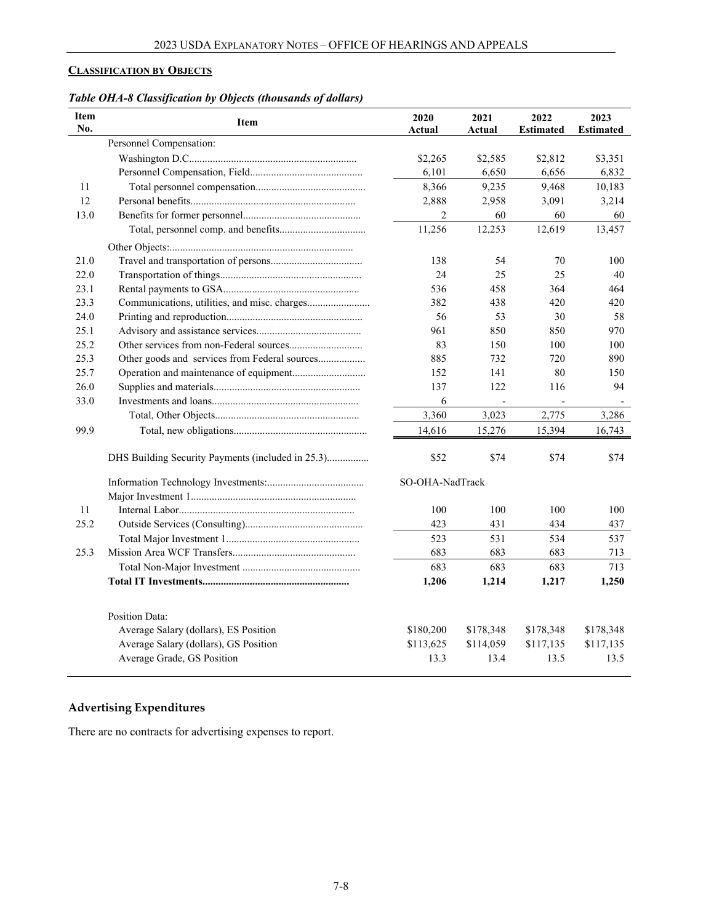## <span id="page-7-0"></span>**CLASSIFICATION BY OBJECTS**

| Table OHA-8 Classification by Objects (thousands of dollars) |  |  |
|--------------------------------------------------------------|--|--|
|                                                              |  |  |

| <b>Item</b><br>No. | Item                                                                | 2020<br>Actual    | 2021<br>Actual    | 2022<br><b>Estimated</b> | 2023<br><b>Estimated</b> |
|--------------------|---------------------------------------------------------------------|-------------------|-------------------|--------------------------|--------------------------|
|                    | Personnel Compensation:                                             |                   |                   |                          |                          |
|                    |                                                                     | \$2,265           | \$2,585           | \$2,812                  | \$3,351                  |
|                    |                                                                     | 6,101             | 6,650             | 6,656                    | 6,832                    |
| 11                 |                                                                     | 8,366             | 9,235             | 9,468                    | 10,183                   |
| 12                 |                                                                     | 2,888             | 2,958             | 3,091                    | 3,214                    |
| 13.0               |                                                                     | 2                 | 60                | 60                       | 60                       |
|                    |                                                                     | 11,256            | 12,253            | 12,619                   | 13,457                   |
|                    |                                                                     |                   |                   |                          |                          |
| 21.0               |                                                                     | 138               | 54                | 70                       | 100                      |
| 22.0               |                                                                     | 24                | 25                | 25                       | 40                       |
| 23.1               |                                                                     | 536               | 458               | 364                      | 464                      |
| 23.3               |                                                                     | 382               | 438               | 420                      | 420                      |
| 24.0               |                                                                     | 56                | 53                | 30                       | 58                       |
| 25.1               |                                                                     | 961               | 850               | 850                      | 970                      |
| 25.2               |                                                                     | 83                | 150               | 100                      | 100                      |
| 25.3               | Other goods and services from Federal sources                       | 885               | 732               | 720                      | 890                      |
| 25.7               |                                                                     | 152               | 141               | 80                       | 150                      |
| 26.0               |                                                                     | 137               | 122               | 116                      | 94                       |
| 33.0               |                                                                     | 6                 |                   |                          |                          |
|                    |                                                                     | 3,360             | 3,023             | 2,775                    | 3.286                    |
| 99.9               |                                                                     | 14,616            | 15,276            | 15,394                   | 16,743                   |
|                    | DHS Building Security Payments (included in 25.3)                   | \$52              | \$74              | \$74                     | \$74                     |
|                    |                                                                     | SO-OHA-NadTrack   |                   |                          |                          |
|                    |                                                                     |                   |                   |                          |                          |
| 11                 |                                                                     | 100               | 100               | 100                      | 100                      |
| 25.2               |                                                                     | 423               | 431               | 434                      | 437                      |
|                    |                                                                     | 523               | 531               | 534                      | 537                      |
| 25.3               |                                                                     | 683               | 683               | 683                      | 713                      |
|                    |                                                                     | 683               | 683               | 683                      | 713                      |
|                    |                                                                     | 1,206             | 1,214             | 1,217                    | 1,250                    |
|                    |                                                                     |                   |                   |                          |                          |
|                    | <b>Position Data:</b>                                               |                   |                   |                          |                          |
|                    | Average Salary (dollars), ES Position                               | \$180,200         | \$178,348         | \$178,348                | \$178,348                |
|                    | Average Salary (dollars), GS Position<br>Average Grade, GS Position | \$113,625<br>13.3 | \$114,059<br>13.4 | \$117,135<br>13.5        | \$117,135<br>13.5        |
|                    |                                                                     |                   |                   |                          |                          |

## **Advertising Expenditures**

There are no contracts for advertising expenses to report.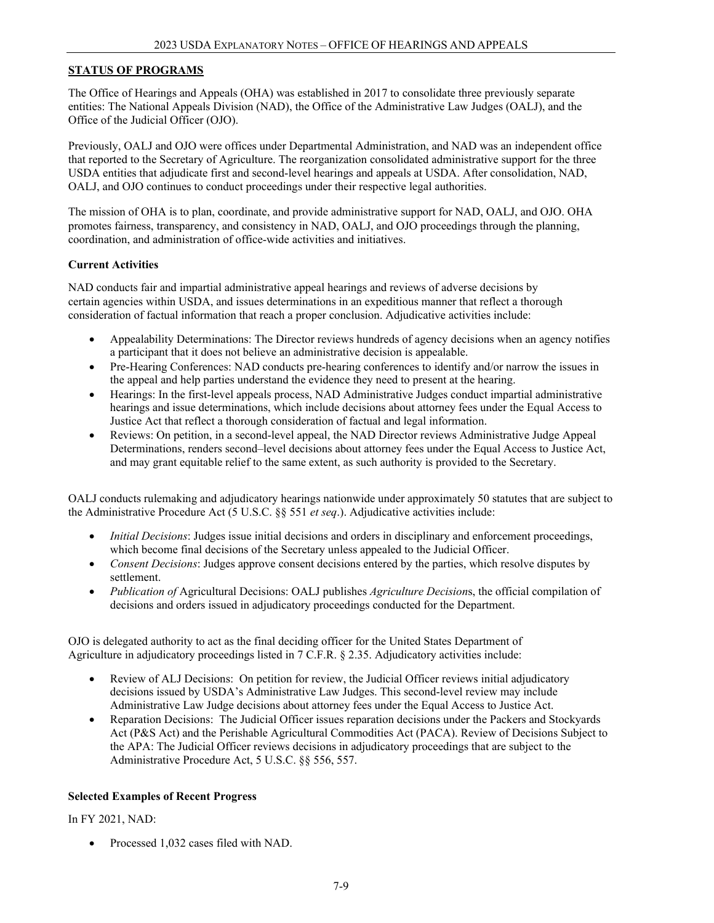### **STATUS OF PROGRAMS**

The Office of Hearings and Appeals (OHA) was established in 2017 to consolidate three previously separate entities: The National Appeals Division (NAD), the Office of the Administrative Law Judges (OALJ), and the Office of the Judicial Officer (OJO).

Previously, OALJ and OJO were offices under Departmental Administration, and NAD was an independent office that reported to the Secretary of Agriculture. The reorganization consolidated administrative support for the three USDA entities that adjudicate first and second-level hearings and appeals at USDA. After consolidation, NAD, OALJ, and OJO continues to conduct proceedings under their respective legal authorities.

The mission of OHA is to plan, coordinate, and provide administrative support for NAD, OALJ, and OJO. OHA promotes fairness, transparency, and consistency in NAD, OALJ, and OJO proceedings through the planning, coordination, and administration of office-wide activities and initiatives.

#### **Current Activities**

NAD conducts fair and impartial administrative appeal hearings and reviews of adverse decisions by certain agencies within USDA, and issues determinations in an expeditious manner that reflect a thorough consideration of factual information that reach a proper conclusion. Adjudicative activities include:

- Appealability Determinations: The Director reviews hundreds of agency decisions when an agency notifies a participant that it does not believe an administrative decision is appealable.
- Pre-Hearing Conferences: NAD conducts pre-hearing conferences to identify and/or narrow the issues in the appeal and help parties understand the evidence they need to present at the hearing.
- Hearings: In the first-level appeals process, NAD Administrative Judges conduct impartial administrative hearings and issue determinations, which include decisions about attorney fees under the Equal Access to Justice Act that reflect a thorough consideration of factual and legal information.
- Reviews: On petition, in a second-level appeal, the NAD Director reviews Administrative Judge Appeal Determinations, renders second–level decisions about attorney fees under the Equal Access to Justice Act, and may grant equitable relief to the same extent, as such authority is provided to the Secretary.

OALJ conducts rulemaking and adjudicatory hearings nationwide under approximately 50 statutes that are subject to the Administrative Procedure Act (5 U.S.C. §§ 551 *et seq*.). Adjudicative activities include:

- *Initial Decisions*: Judges issue initial decisions and orders in disciplinary and enforcement proceedings, which become final decisions of the Secretary unless appealed to the Judicial Officer.
- *Consent Decisions*: Judges approve consent decisions entered by the parties, which resolve disputes by settlement.
- *Publication of* Agricultural Decisions: OALJ publishes *Agriculture Decision*s, the official compilation of decisions and orders issued in adjudicatory proceedings conducted for the Department.

OJO is delegated authority to act as the final deciding officer for the United States Department of Agriculture in adjudicatory proceedings listed in 7 C.F.R. § 2.35. Adjudicatory activities include:

- Review of ALJ Decisions: On petition for review, the Judicial Officer reviews initial adjudicatory decisions issued by USDA's Administrative Law Judges. This second-level review may include Administrative Law Judge decisions about attorney fees under the Equal Access to Justice Act.
- Reparation Decisions: The Judicial Officer issues reparation decisions under the Packers and Stockyards Act (P&S Act) and the Perishable Agricultural Commodities Act (PACA). Review of Decisions Subject to the APA: The Judicial Officer reviews decisions in adjudicatory proceedings that are subject to the Administrative Procedure Act, 5 U.S.C. §§ 556, 557.

#### **Selected Examples of Recent Progress**

#### In FY 2021, NAD:

• Processed 1,032 cases filed with NAD.